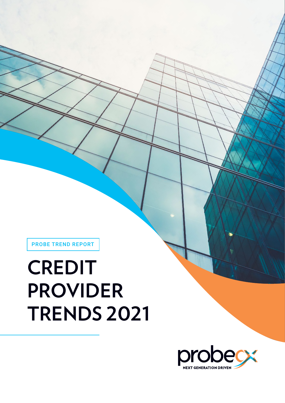PROBE TREND REPORT

# **CREDIT PROVIDER TRENDS 2021**

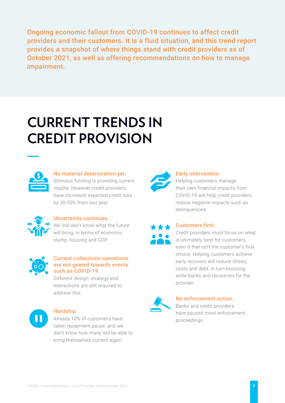Ongoing economic fallout from COVID-19 continues to affect credit providers and their customers. It is a fluid situation, and this trend report provides a snapshot of where things stand with credit providers as of October 2021, as well as offering recommendations on how to manage impairment.

## **CURRENT TRENDS IN CREDIT PROVISION**



#### No material deterioration yet.

Stimulus funding is providing current respite. However credit providers have increased expected credit loss by 30-50% from last year.



#### Uncertainty continues.

We still don't know what the future will bring, in terms of economic slump, housing and GDP.



#### Current collections operations are not geared towards events such as COVID-19.

Different design, strategy and interactions are still required to address this.



#### Hardship

Already 10% of customers have taken repayment pause, and we don't know how many will be able to bring themselves current again.



### Early intervention.

Helping customers manage their own financial impacts from COVID-19 will help credit providers reduce negative impacts such as delinquencies

#### Customers first.

Credit providers must focus on what is ultimately best for customers, even if that isn't the customer's first choice. Helping customers achieve early recovery will reduce stress, costs and debt, in turn boosting write-backs and recoveries for the provider.



#### No enforcement action.

Banks and credit providers have paused most enforcement proceedings.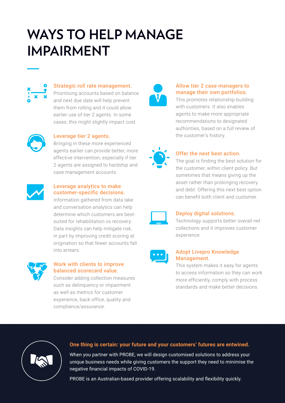### **WAYS TO HELP MANAGE IMPAIRMENT**



#### Strategic roll rate management.

Prioritising accounts based on balance and next due date will help prevent them from rolling and it could allow earlier use of tier 2 agents. In some cases, this might slightly impact cost.



#### Leverage tier 2 agents.

Bringing in these more experienced agents earlier can provide better, more effective intervention, especially if tier 2 agents are assigned to hardship and case management accounts.



#### Leverage analytics to make customer-specific decisions.

Information gathered from data lake and conversation analytics can help determine which customers are bestsuited for rehabilitation vs recovery. Data insights can help mitigate risk, in part by improving credit scoring at origination so that fewer accounts fall into arrears.



#### Work with clients to improve balanced scorecard value.

Consider adding collection measures such as delinquency or impairment as well as metrics for customer experience, back office, quality and compliance/assurance.



#### Allow tier 2 case managers to manage their own portfolios.

This promotes relationship-building with customers. It also enables agents to make more appropriate recommendations to designated authorities, based on a full review of the customer's history.



### Offer the next best action.

The goal is finding the best solution for the customer, within client policy. But sometimes that means giving up the asset rather than prolonging recovery and debt. Offering this next best option can benefit both client and customer.



#### Deploy digital solutions.

Technology supports better overall net collections and it improves customer experience.



#### Adopt Livepro Knowledge Management.

This system makes it easy for agents to access information so they can work more efficiently, comply with process standards and make better decisions.



#### **One thing is certain: your future and your customers' futures are entwined.**

When you partner with PROBE, we will design customised solutions to address your unique business needs while giving customers the support they need to minimise the negative financial impacts of COVID-19.

PROBE is an Australian-based provider offering scalability and flexibility quickly.